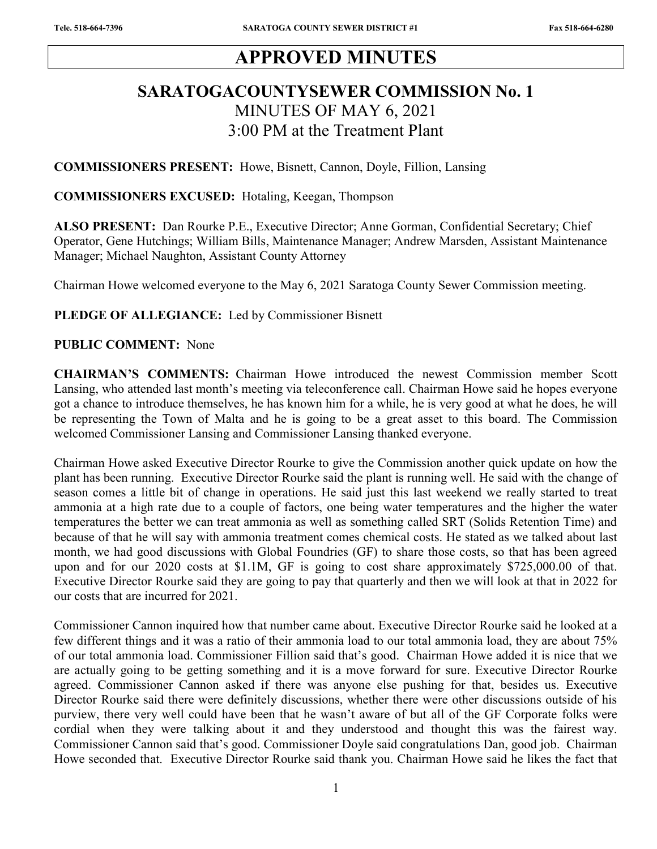# APPROVED MINUTES

# SARATOGACOUNTYSEWER COMMISSION No. 1 MINUTES OF MAY 6, 2021 3:00 PM at the Treatment Plant

COMMISSIONERS PRESENT: Howe, Bisnett, Cannon, Doyle, Fillion, Lansing

COMMISSIONERS EXCUSED: Hotaling, Keegan, Thompson

ALSO PRESENT: Dan Rourke P.E., Executive Director; Anne Gorman, Confidential Secretary; Chief Operator, Gene Hutchings; William Bills, Maintenance Manager; Andrew Marsden, Assistant Maintenance Manager; Michael Naughton, Assistant County Attorney

Chairman Howe welcomed everyone to the May 6, 2021 Saratoga County Sewer Commission meeting.

PLEDGE OF ALLEGIANCE: Led by Commissioner Bisnett

#### PUBLIC COMMENT: None

CHAIRMAN'S COMMENTS: Chairman Howe introduced the newest Commission member Scott Lansing, who attended last month's meeting via teleconference call. Chairman Howe said he hopes everyone got a chance to introduce themselves, he has known him for a while, he is very good at what he does, he will be representing the Town of Malta and he is going to be a great asset to this board. The Commission welcomed Commissioner Lansing and Commissioner Lansing thanked everyone.

Chairman Howe asked Executive Director Rourke to give the Commission another quick update on how the plant has been running. Executive Director Rourke said the plant is running well. He said with the change of season comes a little bit of change in operations. He said just this last weekend we really started to treat ammonia at a high rate due to a couple of factors, one being water temperatures and the higher the water temperatures the better we can treat ammonia as well as something called SRT (Solids Retention Time) and because of that he will say with ammonia treatment comes chemical costs. He stated as we talked about last month, we had good discussions with Global Foundries (GF) to share those costs, so that has been agreed upon and for our 2020 costs at \$1.1M, GF is going to cost share approximately \$725,000.00 of that. Executive Director Rourke said they are going to pay that quarterly and then we will look at that in 2022 for our costs that are incurred for 2021.

Commissioner Cannon inquired how that number came about. Executive Director Rourke said he looked at a few different things and it was a ratio of their ammonia load to our total ammonia load, they are about 75% of our total ammonia load. Commissioner Fillion said that's good. Chairman Howe added it is nice that we are actually going to be getting something and it is a move forward for sure. Executive Director Rourke agreed. Commissioner Cannon asked if there was anyone else pushing for that, besides us. Executive Director Rourke said there were definitely discussions, whether there were other discussions outside of his purview, there very well could have been that he wasn't aware of but all of the GF Corporate folks were cordial when they were talking about it and they understood and thought this was the fairest way. Commissioner Cannon said that's good. Commissioner Doyle said congratulations Dan, good job. Chairman Howe seconded that. Executive Director Rourke said thank you. Chairman Howe said he likes the fact that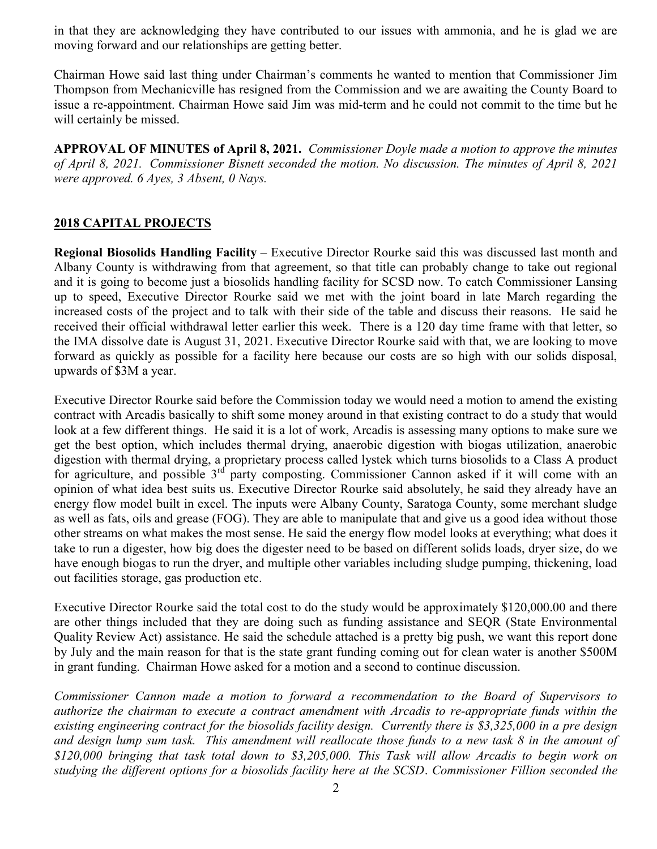in that they are acknowledging they have contributed to our issues with ammonia, and he is glad we are moving forward and our relationships are getting better.

Chairman Howe said last thing under Chairman's comments he wanted to mention that Commissioner Jim Thompson from Mechanicville has resigned from the Commission and we are awaiting the County Board to issue a re-appointment. Chairman Howe said Jim was mid-term and he could not commit to the time but he will certainly be missed.

APPROVAL OF MINUTES of April 8, 2021. Commissioner Dovle made a motion to approve the minutes of April 8, 2021. Commissioner Bisnett seconded the motion. No discussion. The minutes of April 8, 2021 were approved. 6 Ayes, 3 Absent, 0 Nays.

## 2018 CAPITAL PROJECTS

Regional Biosolids Handling Facility – Executive Director Rourke said this was discussed last month and Albany County is withdrawing from that agreement, so that title can probably change to take out regional and it is going to become just a biosolids handling facility for SCSD now. To catch Commissioner Lansing up to speed, Executive Director Rourke said we met with the joint board in late March regarding the increased costs of the project and to talk with their side of the table and discuss their reasons. He said he received their official withdrawal letter earlier this week. There is a 120 day time frame with that letter, so the IMA dissolve date is August 31, 2021. Executive Director Rourke said with that, we are looking to move forward as quickly as possible for a facility here because our costs are so high with our solids disposal, upwards of \$3M a year.

Executive Director Rourke said before the Commission today we would need a motion to amend the existing contract with Arcadis basically to shift some money around in that existing contract to do a study that would look at a few different things. He said it is a lot of work, Arcadis is assessing many options to make sure we get the best option, which includes thermal drying, anaerobic digestion with biogas utilization, anaerobic digestion with thermal drying, a proprietary process called lystek which turns biosolids to a Class A product for agriculture, and possible  $3^{rd}$  party composting. Commissioner Cannon asked if it will come with an opinion of what idea best suits us. Executive Director Rourke said absolutely, he said they already have an energy flow model built in excel. The inputs were Albany County, Saratoga County, some merchant sludge as well as fats, oils and grease (FOG). They are able to manipulate that and give us a good idea without those other streams on what makes the most sense. He said the energy flow model looks at everything; what does it take to run a digester, how big does the digester need to be based on different solids loads, dryer size, do we have enough biogas to run the dryer, and multiple other variables including sludge pumping, thickening, load out facilities storage, gas production etc.

Executive Director Rourke said the total cost to do the study would be approximately \$120,000.00 and there are other things included that they are doing such as funding assistance and SEQR (State Environmental Quality Review Act) assistance. He said the schedule attached is a pretty big push, we want this report done by July and the main reason for that is the state grant funding coming out for clean water is another \$500M in grant funding. Chairman Howe asked for a motion and a second to continue discussion.

Commissioner Cannon made a motion to forward a recommendation to the Board of Supervisors to authorize the chairman to execute a contract amendment with Arcadis to re-appropriate funds within the existing engineering contract for the biosolids facility design. Currently there is \$3,325,000 in a pre design and design lump sum task. This amendment will reallocate those funds to a new task 8 in the amount of \$120,000 bringing that task total down to \$3,205,000. This Task will allow Arcadis to begin work on studying the different options for a biosolids facility here at the SCSD. Commissioner Fillion seconded the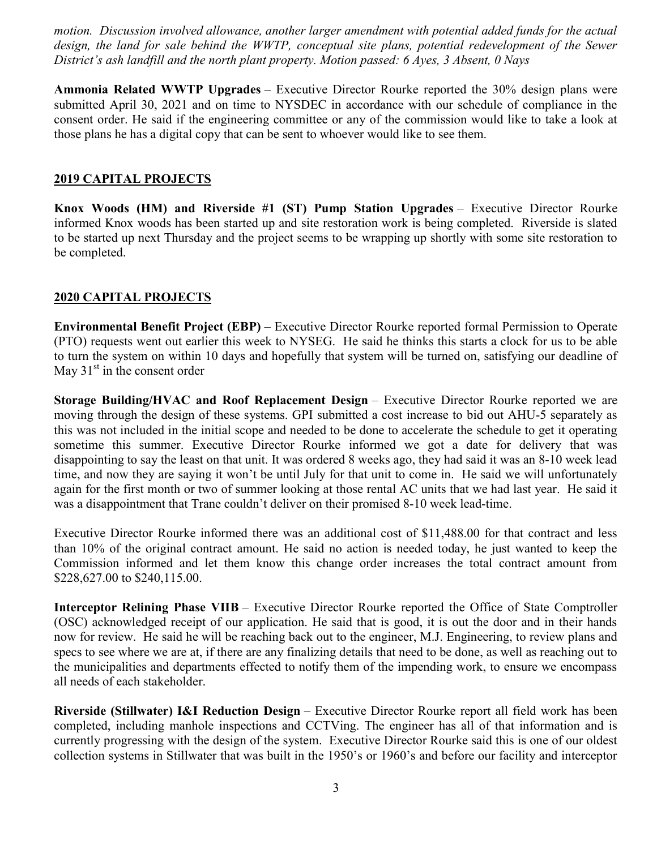motion. Discussion involved allowance, another larger amendment with potential added funds for the actual design, the land for sale behind the WWTP, conceptual site plans, potential redevelopment of the Sewer District's ash landfill and the north plant property. Motion passed: 6 Ayes, 3 Absent, 0 Nays

Ammonia Related WWTP Upgrades – Executive Director Rourke reported the 30% design plans were submitted April 30, 2021 and on time to NYSDEC in accordance with our schedule of compliance in the consent order. He said if the engineering committee or any of the commission would like to take a look at those plans he has a digital copy that can be sent to whoever would like to see them.

### 2019 CAPITAL PROJECTS

Knox Woods (HM) and Riverside #1 (ST) Pump Station Upgrades – Executive Director Rourke informed Knox woods has been started up and site restoration work is being completed. Riverside is slated to be started up next Thursday and the project seems to be wrapping up shortly with some site restoration to be completed.

### 2020 CAPITAL PROJECTS

Environmental Benefit Project (EBP) – Executive Director Rourke reported formal Permission to Operate (PTO) requests went out earlier this week to NYSEG. He said he thinks this starts a clock for us to be able to turn the system on within 10 days and hopefully that system will be turned on, satisfying our deadline of May  $31<sup>st</sup>$  in the consent order

Storage Building/HVAC and Roof Replacement Design – Executive Director Rourke reported we are moving through the design of these systems. GPI submitted a cost increase to bid out AHU-5 separately as this was not included in the initial scope and needed to be done to accelerate the schedule to get it operating sometime this summer. Executive Director Rourke informed we got a date for delivery that was disappointing to say the least on that unit. It was ordered 8 weeks ago, they had said it was an 8-10 week lead time, and now they are saying it won't be until July for that unit to come in. He said we will unfortunately again for the first month or two of summer looking at those rental AC units that we had last year. He said it was a disappointment that Trane couldn't deliver on their promised 8-10 week lead-time.

Executive Director Rourke informed there was an additional cost of \$11,488.00 for that contract and less than 10% of the original contract amount. He said no action is needed today, he just wanted to keep the Commission informed and let them know this change order increases the total contract amount from \$228,627.00 to \$240,115.00.

Interceptor Relining Phase VIIB – Executive Director Rourke reported the Office of State Comptroller (OSC) acknowledged receipt of our application. He said that is good, it is out the door and in their hands now for review. He said he will be reaching back out to the engineer, M.J. Engineering, to review plans and specs to see where we are at, if there are any finalizing details that need to be done, as well as reaching out to the municipalities and departments effected to notify them of the impending work, to ensure we encompass all needs of each stakeholder.

Riverside (Stillwater) I&I Reduction Design – Executive Director Rourke report all field work has been completed, including manhole inspections and CCTVing. The engineer has all of that information and is currently progressing with the design of the system. Executive Director Rourke said this is one of our oldest collection systems in Stillwater that was built in the 1950's or 1960's and before our facility and interceptor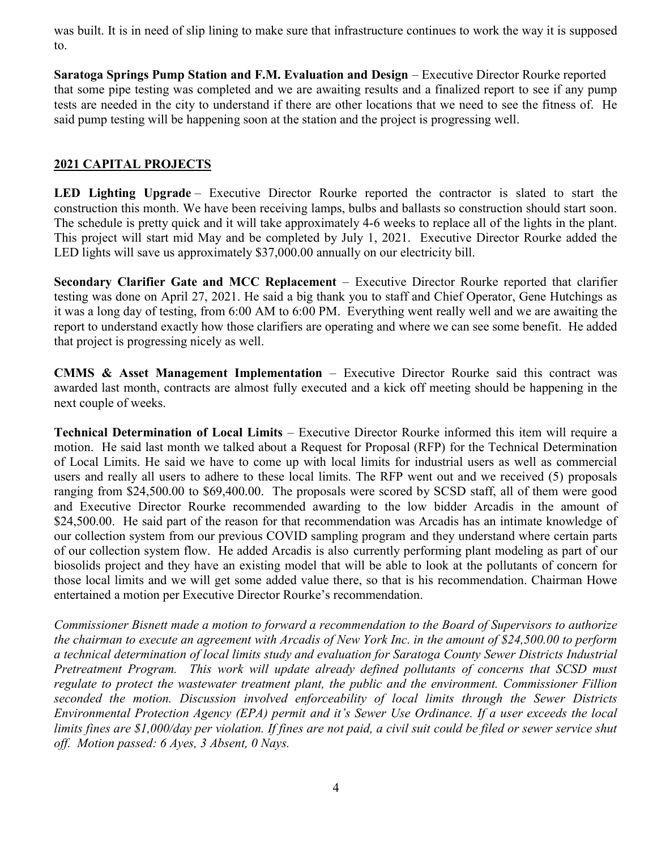was built. It is in need of slip lining to make sure that infrastructure continues to work the way it is supposed to.

Saratoga Springs Pump Station and F.M. Evaluation and Design – Executive Director Rourke reported that some pipe testing was completed and we are awaiting results and a finalized report to see if any pump tests are needed in the city to understand if there are other locations that we need to see the fitness of. He said pump testing will be happening soon at the station and the project is progressing well.

## 2021 CAPITAL PROJECTS

LED Lighting Upgrade – Executive Director Rourke reported the contractor is slated to start the construction this month. We have been receiving lamps, bulbs and ballasts so construction should start soon. The schedule is pretty quick and it will take approximately 4-6 weeks to replace all of the lights in the plant. This project will start mid May and be completed by July 1, 2021. Executive Director Rourke added the LED lights will save us approximately \$37,000.00 annually on our electricity bill.

Secondary Clarifier Gate and MCC Replacement – Executive Director Rourke reported that clarifier testing was done on April 27, 2021. He said a big thank you to staff and Chief Operator, Gene Hutchings as it was a long day of testing, from 6:00 AM to 6:00 PM. Everything went really well and we are awaiting the report to understand exactly how those clarifiers are operating and where we can see some benefit. He added that project is progressing nicely as well.

CMMS & Asset Management Implementation – Executive Director Rourke said this contract was awarded last month, contracts are almost fully executed and a kick off meeting should be happening in the next couple of weeks.

Technical Determination of Local Limits – Executive Director Rourke informed this item will require a motion. He said last month we talked about a Request for Proposal (RFP) for the Technical Determination of Local Limits. He said we have to come up with local limits for industrial users as well as commercial users and really all users to adhere to these local limits. The RFP went out and we received (5) proposals ranging from \$24,500.00 to \$69,400.00. The proposals were scored by SCSD staff, all of them were good and Executive Director Rourke recommended awarding to the low bidder Arcadis in the amount of \$24,500.00. He said part of the reason for that recommendation was Arcadis has an intimate knowledge of our collection system from our previous COVID sampling program and they understand where certain parts of our collection system flow. He added Arcadis is also currently performing plant modeling as part of our biosolids project and they have an existing model that will be able to look at the pollutants of concern for those local limits and we will get some added value there, so that is his recommendation. Chairman Howe entertained a motion per Executive Director Rourke's recommendation.

Commissioner Bisnett made a motion to forward a recommendation to the Board of Supervisors to authorize the chairman to execute an agreement with Arcadis of New York Inc. in the amount of \$24,500.00 to perform a technical determination of local limits study and evaluation for Saratoga County Sewer Districts Industrial Pretreatment Program. This work will update already defined pollutants of concerns that SCSD must regulate to protect the wastewater treatment plant, the public and the environment. Commissioner Fillion seconded the motion. Discussion involved enforceability of local limits through the Sewer Districts Environmental Protection Agency (EPA) permit and it's Sewer Use Ordinance. If a user exceeds the local limits fines are \$1,000/day per violation. If fines are not paid, a civil suit could be filed or sewer service shut off. Motion passed: 6 Ayes, 3 Absent, 0 Nays.